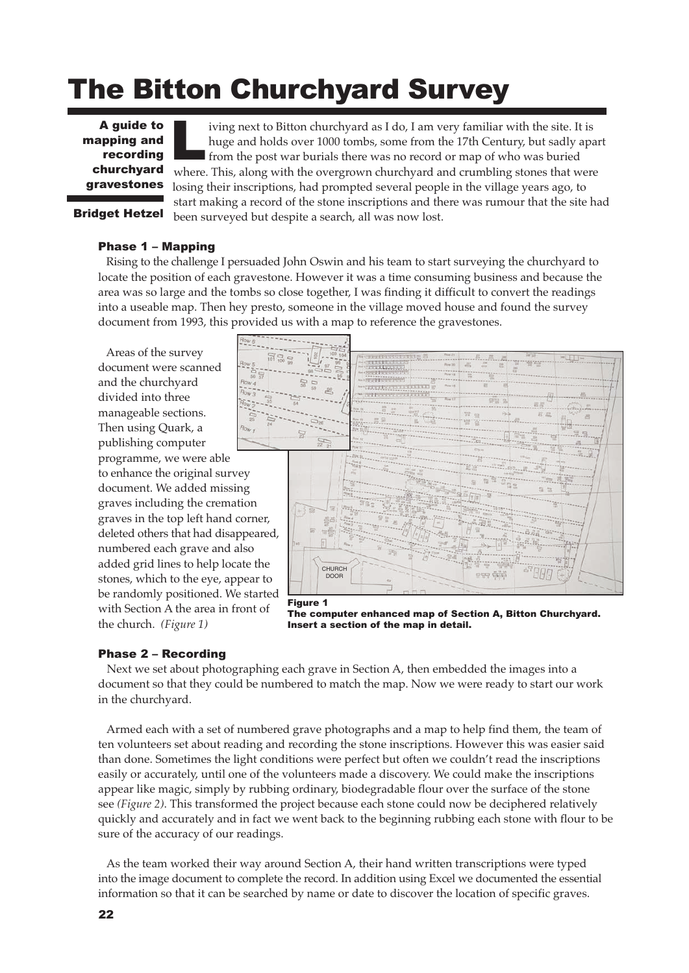# The Bitton Churchyard Survey

A guide to mapping and recording churchyard gravestones

iving next to Bitton churchyard as I do, I am very familiar with the site. It is huge and holds over 1000 tombs, some from the 17th Century, but sadly apart **from the post war burials there was no record or map of who was buried** where. This, along with the overgrown churchyard and crumbling stones that were losing their inscriptions, had prompted several people in the village years ago, to start making a record of the stone inscriptions and there was rumour that the site had been surveyed but despite a search, all was now lost. L

# Bridget Hetzel

# Phase 1 – Mapping

Rising to the challenge I persuaded John Oswin and his team to start surveying the churchyard to locate the position of each gravestone. However it was a time consuming business and because the area was so large and the tombs so close together, I was finding it difficult to convert the readings into a useable map. Then hey presto, someone in the village moved house and found the survey document from 1993, this provided us with a map to reference the gravestones.

Areas of the survey document were scanned and the churchyard divided into three manageable sections. Then using Quark, a publishing computer programme, we were able to enhance the original survey document. We added missing graves including the cremation graves in the top left hand corner, deleted others that had disappeared, numbered each grave and also added grid lines to help locate the stones, which to the eye, appear to be randomly positioned. We started with Section A the area in front of the church. *(Figure 1)*



Figure 1 The computer enhanced map of Section A, Bitton Churchyard. Insert a section of the map in detail.

# Phase 2 – Recording

Next we set about photographing each grave in Section A, then embedded the images into a document so that they could be numbered to match the map. Now we were ready to start our work in the churchyard.

Armed each with a set of numbered grave photographs and a map to help find them, the team of ten volunteers set about reading and recording the stone inscriptions. However this was easier said than done. Sometimes the light conditions were perfect but often we couldn't read the inscriptions easily or accurately, until one of the volunteers made a discovery. We could make the inscriptions appear like magic, simply by rubbing ordinary, biodegradable flour over the surface of the stone see *(Figure 2)*. This transformed the project because each stone could now be deciphered relatively quickly and accurately and in fact we went back to the beginning rubbing each stone with flour to be sure of the accuracy of our readings.

As the team worked their way around Section A, their hand written transcriptions were typed into the image document to complete the record. In addition using Excel we documented the essential information so that it can be searched by name or date to discover the location of specific graves.